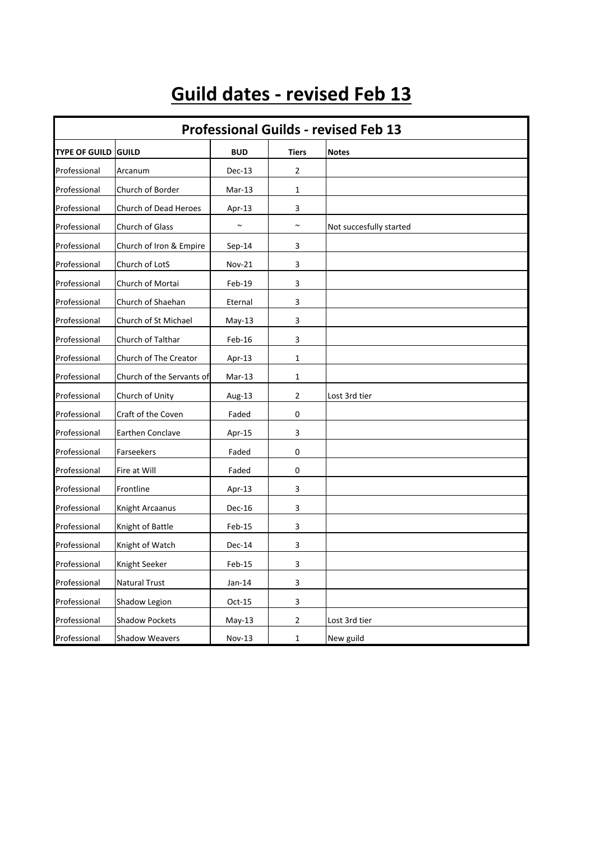## **Guild dates - revised Feb 13**

| <b>Professional Guilds - revised Feb 13</b> |                           |               |                           |                         |  |  |  |
|---------------------------------------------|---------------------------|---------------|---------------------------|-------------------------|--|--|--|
| <b>TYPE OF GUILD</b>                        | <b>GUILD</b>              | <b>BUD</b>    | Tiers                     | <b>Notes</b>            |  |  |  |
| Professional                                | Arcanum                   | Dec-13        | $\overline{2}$            |                         |  |  |  |
| Professional                                | Church of Border          | Mar-13        | 1                         |                         |  |  |  |
| Professional                                | Church of Dead Heroes     | Apr-13        | 3                         |                         |  |  |  |
| Professional                                | Church of Glass           | $\sim$        | $\sim$                    | Not succesfully started |  |  |  |
| Professional                                | Church of Iron & Empire   | $Sep-14$      | 3                         |                         |  |  |  |
| Professional                                | Church of LotS            | <b>Nov-21</b> | 3                         |                         |  |  |  |
| Professional                                | Church of Mortai          | Feb-19        | 3                         |                         |  |  |  |
| Professional                                | Church of Shaehan         | Eternal       | 3                         |                         |  |  |  |
| Professional                                | Church of St Michael      | $May-13$      | 3                         |                         |  |  |  |
| Professional                                | Church of Talthar         | Feb-16        | 3                         |                         |  |  |  |
| Professional                                | Church of The Creator     | Apr-13        | $\mathbf{1}$              |                         |  |  |  |
| Professional                                | Church of the Servants of | Mar-13        | 1                         |                         |  |  |  |
| Professional                                | Church of Unity           | Aug-13        | 2                         | Lost 3rd tier           |  |  |  |
| Professional                                | Craft of the Coven        | Faded         | 0                         |                         |  |  |  |
| Professional                                | Earthen Conclave          | Apr-15        | 3                         |                         |  |  |  |
| Professional                                | Farseekers                | Faded         | 0                         |                         |  |  |  |
| Professional                                | Fire at Will              | Faded         | 0                         |                         |  |  |  |
| Professional                                | Frontline                 | Apr-13        | 3                         |                         |  |  |  |
| Professional                                | Knight Arcaanus           | Dec-16        | 3                         |                         |  |  |  |
| Professional                                | Knight of Battle          | Feb-15        | 3                         |                         |  |  |  |
| Professional                                | Knight of Watch           | Dec-14        | 3                         |                         |  |  |  |
| Professional                                | Knight Seeker             | Feb-15        | 3                         |                         |  |  |  |
| Professional                                | Natural Trust             | $Jan-14$      | $\ensuremath{\mathsf{3}}$ |                         |  |  |  |
| Professional                                | Shadow Legion             | $Oct-15$      | $\mathbf{3}$              |                         |  |  |  |
| Professional                                | <b>Shadow Pockets</b>     | $May-13$      | $\mathbf{2}$              | Lost 3rd tier           |  |  |  |
| Professional                                | <b>Shadow Weavers</b>     | Nov-13        | $\mathbf{1}$              | New guild               |  |  |  |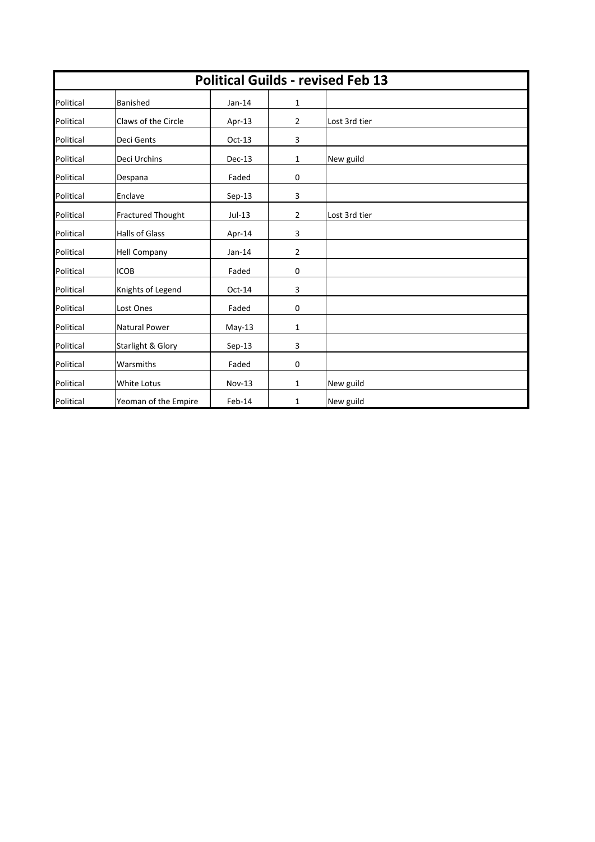| <b>Political Guilds - revised Feb 13</b> |                              |               |                |               |  |  |  |
|------------------------------------------|------------------------------|---------------|----------------|---------------|--|--|--|
| Political                                | Banished                     | $Jan-14$      | 1              |               |  |  |  |
| Political                                | Claws of the Circle          | Apr-13        | $\overline{2}$ | Lost 3rd tier |  |  |  |
| Political                                | Deci Gents                   | $Oct-13$      | 3              |               |  |  |  |
| Political                                | Deci Urchins                 | $Dec-13$      | 1              | New guild     |  |  |  |
| Political                                | Despana                      | Faded         | $\mathbf 0$    |               |  |  |  |
| Political                                | Enclave                      | $Sep-13$      | 3              |               |  |  |  |
| Political                                | <b>Fractured Thought</b>     | $Jul-13$      | $\overline{2}$ | Lost 3rd tier |  |  |  |
| Political                                | <b>Halls of Glass</b>        | Apr-14        | 3              |               |  |  |  |
| Political                                | <b>Hell Company</b>          | $Jan-14$      | $\overline{2}$ |               |  |  |  |
| Political                                | <b>ICOB</b>                  | Faded         | $\mathbf 0$    |               |  |  |  |
| Political                                | Knights of Legend            | Oct-14        | 3              |               |  |  |  |
| Political                                | Lost Ones                    | Faded         | 0              |               |  |  |  |
| Political                                | <b>Natural Power</b>         | $May-13$      | 1              |               |  |  |  |
| Political                                | <b>Starlight &amp; Glory</b> | $Sep-13$      | $\overline{3}$ |               |  |  |  |
| Political                                | Warsmiths                    | Faded         | $\mathbf 0$    |               |  |  |  |
| Political                                | White Lotus                  | <b>Nov-13</b> | 1              | New guild     |  |  |  |
| Political                                | Yeoman of the Empire         | Feb-14        | 1              | New guild     |  |  |  |